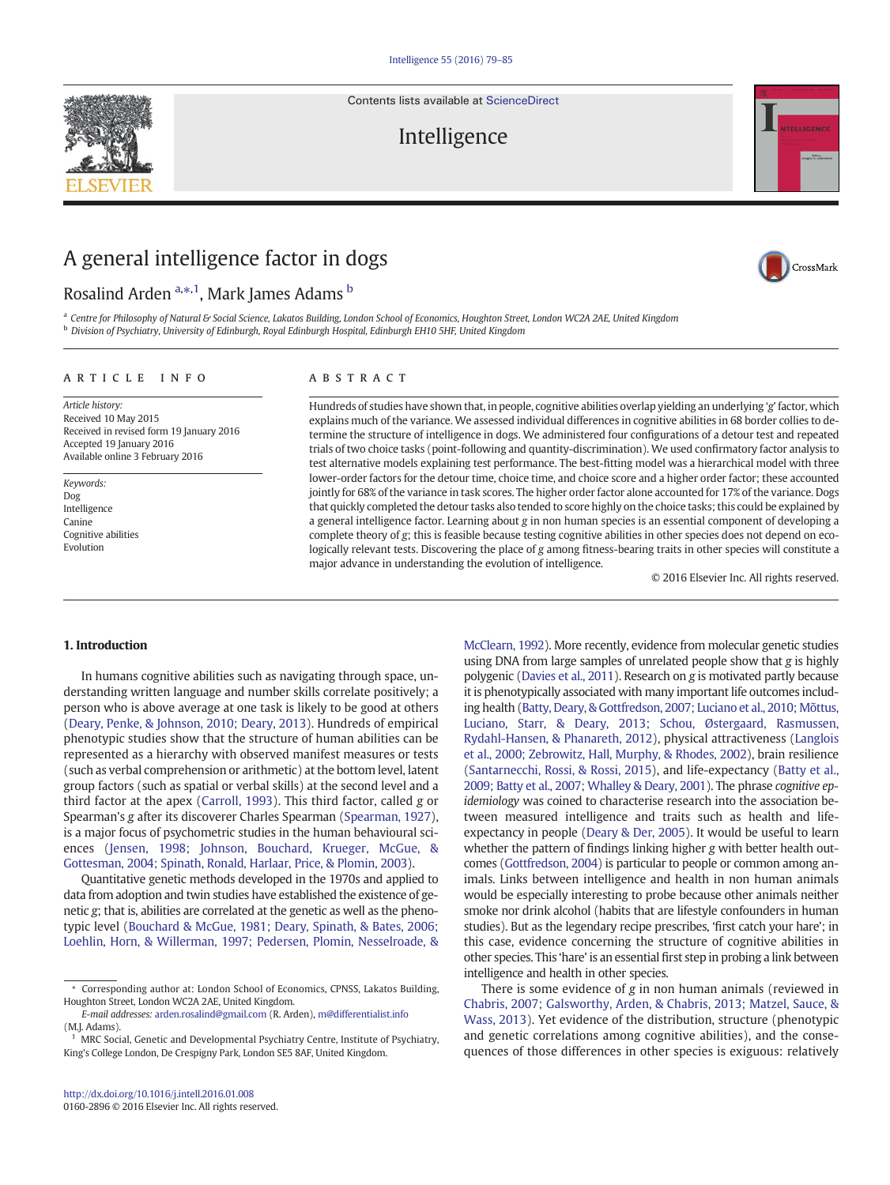Contents lists available at [ScienceDirect](http://www.sciencedirect.com/science/journal/01602896)

### Intelligence

## A general intelligence factor in dogs

### Rosalind Arden <sup>a,\*,1</sup>, Mark James Adams <sup>b</sup>

a Centre for Philosophy of Natural & Social Science, Lakatos Building, London School of Economics, Houghton Street, London WC2A 2AE, United Kingdom **b Division of Psychiatry, University of Edinburgh, Royal Edinburgh Hospital, Edinburgh EH10 5HF, United Kingdom** 

#### article info abstract

Article history: Received 10 May 2015 Received in revised form 19 January 2016 Accepted 19 January 2016 Available online 3 February 2016

Keywords: Dog Intelligence Canine Cognitive abilities Evolution

Hundreds of studies have shown that, in people, cognitive abilities overlap yielding an underlying 'g' factor, which explains much of the variance. We assessed individual differences in cognitive abilities in 68 border collies to determine the structure of intelligence in dogs. We administered four configurations of a detour test and repeated trials of two choice tasks (point-following and quantity-discrimination). We used confirmatory factor analysis to test alternative models explaining test performance. The best-fitting model was a hierarchical model with three lower-order factors for the detour time, choice time, and choice score and a higher order factor; these accounted jointly for 68% of the variance in task scores. The higher order factor alone accounted for 17% of the variance. Dogs that quickly completed the detour tasks also tended to score highly on the choice tasks; this could be explained by a general intelligence factor. Learning about g in non human species is an essential component of developing a complete theory of g; this is feasible because testing cognitive abilities in other species does not depend on ecologically relevant tests. Discovering the place of g among fitness-bearing traits in other species will constitute a major advance in understanding the evolution of intelligence.

© 2016 Elsevier Inc. All rights reserved.

### 1. Introduction

In humans cognitive abilities such as navigating through space, understanding written language and number skills correlate positively; a person who is above average at one task is likely to be good at others [\(Deary, Penke, & Johnson, 2010; Deary, 2013\)](#page--1-0). Hundreds of empirical phenotypic studies show that the structure of human abilities can be represented as a hierarchy with observed manifest measures or tests (such as verbal comprehension or arithmetic) at the bottom level, latent group factors (such as spatial or verbal skills) at the second level and a third factor at the apex ([Carroll, 1993\)](#page--1-0). This third factor, called g or Spearman's g after its discoverer Charles Spearman ([Spearman, 1927](#page--1-0)), is a major focus of psychometric studies in the human behavioural sciences [\(Jensen, 1998; Johnson, Bouchard, Krueger, McGue, &](#page--1-0) [Gottesman, 2004; Spinath, Ronald, Harlaar, Price, & Plomin, 2003\)](#page--1-0).

Quantitative genetic methods developed in the 1970s and applied to data from adoption and twin studies have established the existence of genetic g; that is, abilities are correlated at the genetic as well as the phenotypic level [\(Bouchard & McGue, 1981; Deary, Spinath, & Bates, 2006;](#page--1-0) [Loehlin, Horn, & Willerman, 1997; Pedersen, Plomin, Nesselroade, &](#page--1-0) using DNA from large samples of unrelated people show that g is highly polygenic [\(Davies et al., 2011\)](#page--1-0). Research on g is motivated partly because it is phenotypically associated with many important life outcomes including health ([Batty, Deary, & Gottfredson, 2007; Luciano et al., 2010; Mõttus,](#page--1-0) [Luciano, Starr, & Deary, 2013; Schou, Østergaard, Rasmussen,](#page--1-0) [Rydahl-Hansen, & Phanareth, 2012\)](#page--1-0), physical attractiveness [\(Langlois](#page--1-0) [et al., 2000; Zebrowitz, Hall, Murphy, & Rhodes, 2002\)](#page--1-0), brain resilience [\(Santarnecchi, Rossi, & Rossi, 2015](#page--1-0)), and life-expectancy ([Batty et al.,](#page--1-0) [2009; Batty et al., 2007; Whalley & Deary, 2001\)](#page--1-0). The phrase cognitive epidemiology was coined to characterise research into the association between measured intelligence and traits such as health and lifeexpectancy in people ([Deary & Der, 2005\)](#page--1-0). It would be useful to learn whether the pattern of findings linking higher g with better health outcomes [\(Gottfredson, 2004\)](#page--1-0) is particular to people or common among animals. Links between intelligence and health in non human animals would be especially interesting to probe because other animals neither smoke nor drink alcohol (habits that are lifestyle confounders in human studies). But as the legendary recipe prescribes, 'first catch your hare'; in this case, evidence concerning the structure of cognitive abilities in other species. This 'hare' is an essential first step in probing a link between intelligence and health in other species. There is some evidence of  $g$  in non human animals (reviewed in

[McClearn, 1992](#page--1-0)). More recently, evidence from molecular genetic studies

[Chabris, 2007; Galsworthy, Arden, & Chabris, 2013; Matzel, Sauce, &](#page--1-0) [Wass, 2013\)](#page--1-0). Yet evidence of the distribution, structure (phenotypic and genetic correlations among cognitive abilities), and the consequences of those differences in other species is exiguous: relatively







<sup>⁎</sup> Corresponding author at: London School of Economics, CPNSS, Lakatos Building, Houghton Street, London WC2A 2AE, United Kingdom.

E-mail addresses: arden.rosalind@gmail.com (R. Arden), [m@differentialist.info](mailto:m@differentialist.info) (M.J. Adams).

<sup>&</sup>lt;sup>1</sup> MRC Social, Genetic and Developmental Psychiatry Centre, Institute of Psychiatry, King's College London, De Crespigny Park, London SE5 8AF, United Kingdom.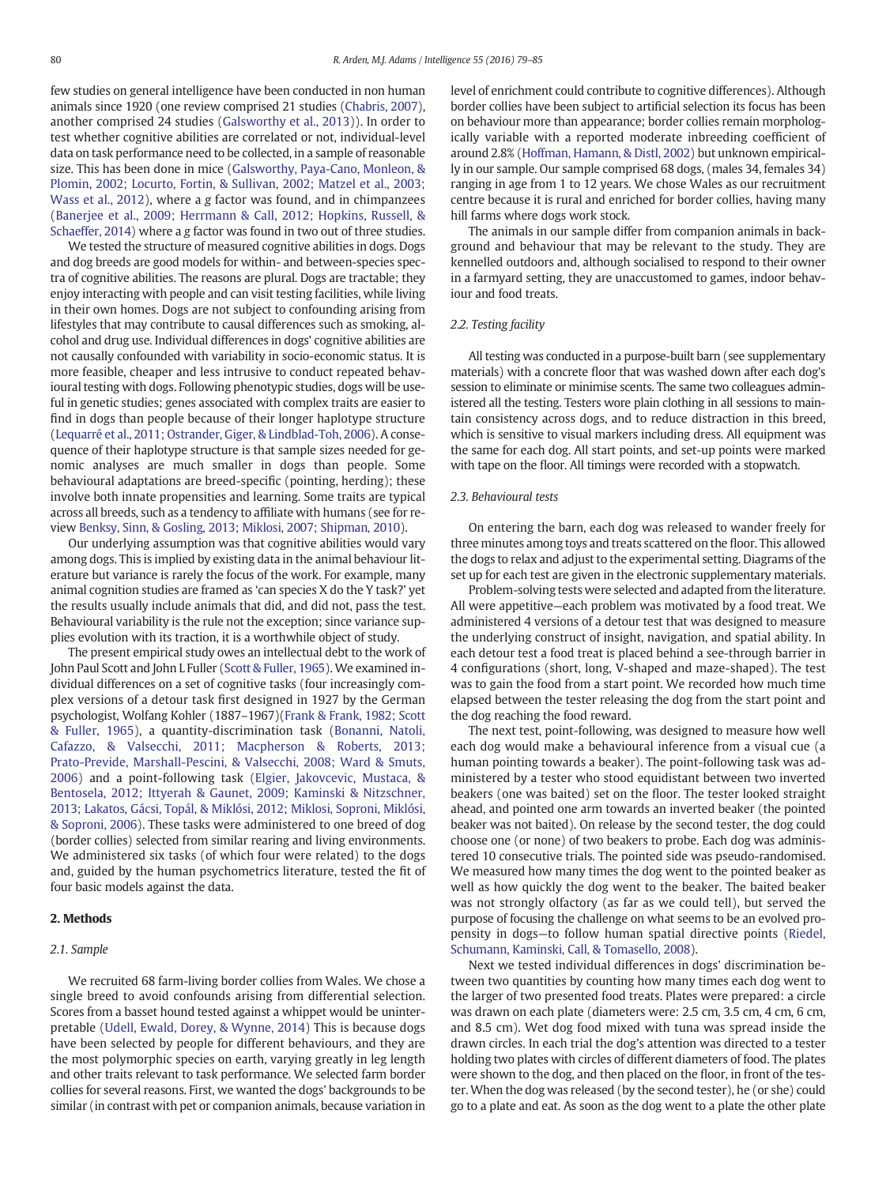few studies on general intelligence have been conducted in non human animals since 1920 (one review comprised 21 studies [\(Chabris, 2007\)](#page--1-0), another comprised 24 studies [\(Galsworthy et al., 2013](#page--1-0))). In order to test whether cognitive abilities are correlated or not, individual-level data on task performance need to be collected, in a sample of reasonable size. This has been done in mice ([Galsworthy, Paya-Cano, Monleon, &](#page--1-0) [Plomin, 2002; Locurto, Fortin, & Sullivan, 2002; Matzel et al., 2003;](#page--1-0) [Wass et al., 2012\)](#page--1-0), where a g factor was found, and in chimpanzees [\(Banerjee et al., 2009; Herrmann & Call, 2012; Hopkins, Russell, &](#page--1-0) [Schaeffer, 2014\)](#page--1-0) where a g factor was found in two out of three studies.

We tested the structure of measured cognitive abilities in dogs. Dogs and dog breeds are good models for within- and between-species spectra of cognitive abilities. The reasons are plural. Dogs are tractable; they enjoy interacting with people and can visit testing facilities, while living in their own homes. Dogs are not subject to confounding arising from lifestyles that may contribute to causal differences such as smoking, alcohol and drug use. Individual differences in dogs' cognitive abilities are not causally confounded with variability in socio-economic status. It is more feasible, cheaper and less intrusive to conduct repeated behavioural testing with dogs. Following phenotypic studies, dogs will be useful in genetic studies; genes associated with complex traits are easier to find in dogs than people because of their longer haplotype structure [\(Lequarré et al., 2011; Ostrander, Giger, & Lindblad-Toh, 2006\)](#page--1-0). A consequence of their haplotype structure is that sample sizes needed for genomic analyses are much smaller in dogs than people. Some behavioural adaptations are breed-specific (pointing, herding); these involve both innate propensities and learning. Some traits are typical across all breeds, such as a tendency to affiliate with humans (see for review [Benksy, Sinn, & Gosling, 2013; Miklosi, 2007; Shipman, 2010\)](#page--1-0).

Our underlying assumption was that cognitive abilities would vary among dogs. This is implied by existing data in the animal behaviour literature but variance is rarely the focus of the work. For example, many animal cognition studies are framed as 'can species X do the Y task?' yet the results usually include animals that did, and did not, pass the test. Behavioural variability is the rule not the exception; since variance supplies evolution with its traction, it is a worthwhile object of study.

The present empirical study owes an intellectual debt to the work of John Paul Scott and John L Fuller [\(Scott & Fuller, 1965\)](#page--1-0). We examined individual differences on a set of cognitive tasks (four increasingly complex versions of a detour task first designed in 1927 by the German psychologist, Wolfang Kohler (1887–1967)([Frank & Frank, 1982; Scott](#page--1-0) [& Fuller, 1965\)](#page--1-0), a quantity-discrimination task ([Bonanni, Natoli,](#page--1-0) [Cafazzo, & Valsecchi, 2011; Macpherson & Roberts, 2013;](#page--1-0) [Prato-Previde, Marshall-Pescini, & Valsecchi, 2008; Ward & Smuts,](#page--1-0) [2006](#page--1-0)) and a point-following task ([Elgier, Jakovcevic, Mustaca, &](#page--1-0) [Bentosela, 2012; Ittyerah & Gaunet, 2009; Kaminski & Nitzschner,](#page--1-0) [2013; Lakatos, Gácsi, Topál, & Miklósi, 2012; Miklosi, Soproni, Miklósi,](#page--1-0) [& Soproni, 2006\)](#page--1-0). These tasks were administered to one breed of dog (border collies) selected from similar rearing and living environments. We administered six tasks (of which four were related) to the dogs and, guided by the human psychometrics literature, tested the fit of four basic models against the data.

#### 2. Methods

#### 2.1. Sample

We recruited 68 farm-living border collies from Wales. We chose a single breed to avoid confounds arising from differential selection. Scores from a basset hound tested against a whippet would be uninterpretable [\(Udell, Ewald, Dorey, & Wynne, 2014](#page--1-0)) This is because dogs have been selected by people for different behaviours, and they are the most polymorphic species on earth, varying greatly in leg length and other traits relevant to task performance. We selected farm border collies for several reasons. First, we wanted the dogs' backgrounds to be similar (in contrast with pet or companion animals, because variation in level of enrichment could contribute to cognitive differences). Although border collies have been subject to artificial selection its focus has been on behaviour more than appearance; border collies remain morphologically variable with a reported moderate inbreeding coefficient of around 2.8% [\(Hoffman, Hamann, & Distl, 2002\)](#page--1-0) but unknown empirically in our sample. Our sample comprised 68 dogs, (males 34, females 34) ranging in age from 1 to 12 years. We chose Wales as our recruitment centre because it is rural and enriched for border collies, having many hill farms where dogs work stock.

The animals in our sample differ from companion animals in background and behaviour that may be relevant to the study. They are kennelled outdoors and, although socialised to respond to their owner in a farmyard setting, they are unaccustomed to games, indoor behaviour and food treats.

#### 2.2. Testing facility

All testing was conducted in a purpose-built barn (see supplementary materials) with a concrete floor that was washed down after each dog's session to eliminate or minimise scents. The same two colleagues administered all the testing. Testers wore plain clothing in all sessions to maintain consistency across dogs, and to reduce distraction in this breed, which is sensitive to visual markers including dress. All equipment was the same for each dog. All start points, and set-up points were marked with tape on the floor. All timings were recorded with a stopwatch.

#### 2.3. Behavioural tests

On entering the barn, each dog was released to wander freely for three minutes among toys and treats scattered on the floor. This allowed the dogs to relax and adjust to the experimental setting. Diagrams of the set up for each test are given in the electronic supplementary materials.

Problem-solving tests were selected and adapted from the literature. All were appetitive—each problem was motivated by a food treat. We administered 4 versions of a detour test that was designed to measure the underlying construct of insight, navigation, and spatial ability. In each detour test a food treat is placed behind a see-through barrier in 4 configurations (short, long, V-shaped and maze-shaped). The test was to gain the food from a start point. We recorded how much time elapsed between the tester releasing the dog from the start point and the dog reaching the food reward.

The next test, point-following, was designed to measure how well each dog would make a behavioural inference from a visual cue (a human pointing towards a beaker). The point-following task was administered by a tester who stood equidistant between two inverted beakers (one was baited) set on the floor. The tester looked straight ahead, and pointed one arm towards an inverted beaker (the pointed beaker was not baited). On release by the second tester, the dog could choose one (or none) of two beakers to probe. Each dog was administered 10 consecutive trials. The pointed side was pseudo-randomised. We measured how many times the dog went to the pointed beaker as well as how quickly the dog went to the beaker. The baited beaker was not strongly olfactory (as far as we could tell), but served the purpose of focusing the challenge on what seems to be an evolved propensity in dogs—to follow human spatial directive points ([Riedel,](#page--1-0) [Schumann, Kaminski, Call, & Tomasello, 2008](#page--1-0)).

Next we tested individual differences in dogs' discrimination between two quantities by counting how many times each dog went to the larger of two presented food treats. Plates were prepared: a circle was drawn on each plate (diameters were: 2.5 cm, 3.5 cm, 4 cm, 6 cm, and 8.5 cm). Wet dog food mixed with tuna was spread inside the drawn circles. In each trial the dog's attention was directed to a tester holding two plates with circles of different diameters of food. The plates were shown to the dog, and then placed on the floor, in front of the tester. When the dog was released (by the second tester), he (or she) could go to a plate and eat. As soon as the dog went to a plate the other plate